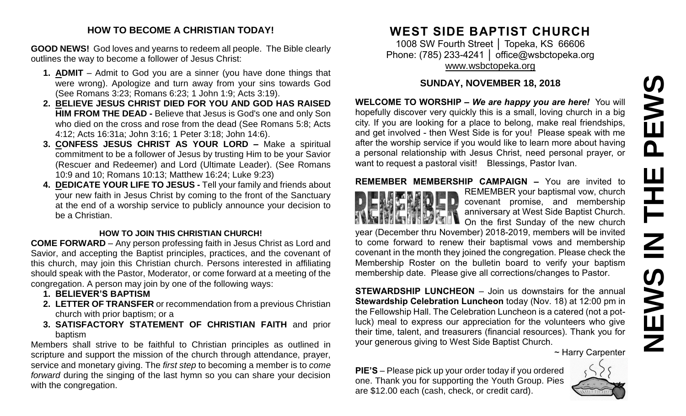#### **HOW TO BECOME A CHRISTIAN TODAY!**

**GOOD NEWS!** God loves and yearns to redeem all people. The Bible clearly outlines the way to become a follower of Jesus Christ:

- **1. ADMIT** Admit to God you are a sinner (you have done things that were wrong). Apologize and turn away from your sins towards God (See Romans 3:23; Romans 6:23; 1 John 1:9; Acts 3:19).
- **2. BELIEVE JESUS CHRIST DIED FOR YOU AND GOD HAS RAISED HIM FROM THE DEAD -** Believe that Jesus is God's one and only Son who died on the cross and rose from the dead (See Romans 5:8; Acts 4:12; Acts 16:31a; John 3:16; 1 Peter 3:18; John 14:6).
- **3. CONFESS JESUS CHRIST AS YOUR LORD –** Make a spiritual commitment to be a follower of Jesus by trusting Him to be your Savior (Rescuer and Redeemer) and Lord (Ultimate Leader). (See Romans 10:9 and 10; Romans 10:13; Matthew 16:24; Luke 9:23)
- **4. DEDICATE YOUR LIFE TO JESUS -** Tell your family and friends about your new faith in Jesus Christ by coming to the front of the Sanctuary at the end of a worship service to publicly announce your decision to be a Christian.

## **HOW TO JOIN THIS CHRISTIAN CHURCH!**

**COME FORWARD** – Any person professing faith in Jesus Christ as Lord and Savior, and accepting the Baptist principles, practices, and the covenant of this church, may join this Christian church. Persons interested in affiliating should speak with the Pastor, Moderator, or come forward at a meeting of the congregation. A person may join by one of the following ways:

- **1. BELIEVER'S BAPTISM**
- **2. LETTER OF TRANSFER** or recommendation from a previous Christian church with prior baptism; or a
- **3. SATISFACTORY STATEMENT OF CHRISTIAN FAITH** and prior baptism

Members shall strive to be faithful to Christian principles as outlined in scripture and support the mission of the church through attendance, prayer, service and monetary giving. The *first step* to becoming a member is to *come forward* during the singing of the last hymn so you can share your decision with the congregation.

# **WEST SIDE BAPTIST CHURCH**

1008 SW Fourth Street | Topeka, KS 66606 Phone: (785) 233-4241 | [office@wsbctopeka.org](mailto:office@wsbctopeka.org) [www.wsbctopeka.org](http://www.wsbctopeka.org/)

# **SUNDAY, NOVEMBER 18, 2018**

**WELCOME TO WORSHIP –** *We are happy you are here!* You will hopefully discover very quickly this is a small, loving church in a big city. If you are looking for a place to belong, make real friendships, and get involved - then West Side is for you! Please speak with me after the worship service if you would like to learn more about having a personal relationship with Jesus Christ, need personal prayer, or want to request a pastoral visit! Blessings, Pastor Ivan.

# **REMEMBER MEMBERSHIP CAMPAIGN –** You are invited to



REMEMBER your baptismal vow, church covenant promise, and membership anniversary at West Side Baptist Church. On the first Sunday of the new church

year (December thru November) 2018-2019, members will be invited to come forward to renew their baptismal vows and membership covenant in the month they joined the congregation. Please check the Membership Roster on the bulletin board to verify your baptism membership date. Please give all corrections/changes to Pastor.

**STEWARDSHIP LUNCHEON** – Join us downstairs for the annual **Stewardship Celebration Luncheon** today (Nov. 18) at 12:00 pm in the Fellowship Hall. The Celebration Luncheon is a catered (not a potluck) meal to express our appreciation for the volunteers who give their time, talent, and treasurers (financial resources). Thank you for your generous giving to West Side Baptist Church.

~ Harry Carpenter

**PIE'S** – Please pick up your order today if you ordered one. Thank you for supporting the Youth Group. Pies are \$12.00 each (cash, check, or credit card).

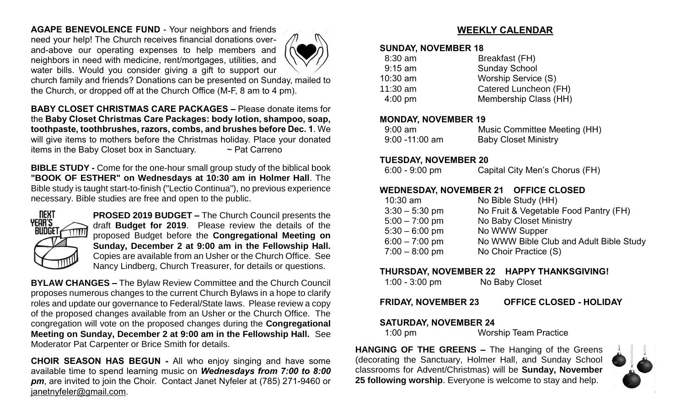**AGAPE BENEVOLENCE FUND** - Your neighbors and friends need your help! The Church receives financial donations overand-above our operating expenses to help members and neighbors in need with medicine, rent/mortgages, utilities, and water bills. Would you consider giving a gift to support our



church family and friends? Donations can be presented on Sunday, mailed to the Church, or dropped off at the Church Office (M-F, 8 am to 4 pm).

**BABY CLOSET CHRISTMAS CARE PACKAGES –** Please donate items for the **Baby Closet Christmas Care Packages: body lotion, shampoo, soap, toothpaste, toothbrushes, razors, combs, and brushes before Dec. 1**. We will give items to mothers before the Christmas holiday. Place your donated items in the Baby Closet box in Sanctuary.  $\sim$  Pat Carreno

**BIBLE STUDY -** Come for the one-hour small group study of the biblical book **"BOOK OF ESTHER" on Wednesdays at 10:30 am in Holmer Hall**. The Bible study is taught start-to-finish ("Lectio Continua"), no previous experience necessary. Bible studies are free and open to the public.



**PROSED 2019 BUDGET –** The Church Council presents the draft **Budget for 2019**. Please review the details of the proposed Budget before the **Congregational Meeting on Sunday, December 2 at 9:00 am in the Fellowship Hall.** Copies are available from an Usher or the Church Office. See Nancy Lindberg, Church Treasurer, for details or questions.

**BYLAW CHANGES –** The Bylaw Review Committee and the Church Council proposes numerous changes to the current Church Bylaws in a hope to clarify roles and update our governance to Federal/State laws. Please review a copy of the proposed changes available from an Usher or the Church Office. The congregation will vote on the proposed changes during the **Congregational Meeting on Sunday, December 2 at 9:00 am in the Fellowship Hall.** See Moderator Pat Carpenter or Brice Smith for details.

**CHOIR SEASON HAS BEGUN -** All who enjoy singing and have some available time to spend learning music on *Wednesdays from 7:00 to 8:00 pm*, are invited to join the Choir. Contact Janet Nyfeler at (785) 271-9460 or [janetnyfeler@gmail.com.](mailto:janetnyfeler@gmail.com)

# **WEEKLY CALENDAR**

#### **SUNDAY, NOVEMBER 18**

| $8:30$ am         | Breakfast (FH)        |
|-------------------|-----------------------|
| $9:15$ am         | <b>Sunday School</b>  |
| $10:30$ am        | Worship Service (S)   |
| $11:30$ am        | Catered Luncheon (FH) |
| $4:00 \text{ pm}$ | Membership Class (HH) |
|                   |                       |

#### **MONDAY, NOVEMBER 19**

| $9:00$ am         | Music Committee Meeting (HH) |
|-------------------|------------------------------|
| $9:00 - 11:00$ am | <b>Baby Closet Ministry</b>  |

#### **TUESDAY, NOVEMBER 20**

## **WEDNESDAY, NOVEMBER 21 OFFICE CLOSED**

| $10:30$ am       | No Bible Study (HH)                     |
|------------------|-----------------------------------------|
| $3:30 - 5:30$ pm | No Fruit & Vegetable Food Pantry (FH)   |
| $5:00 - 7:00$ pm | No Baby Closet Ministry                 |
| $5:30 - 6:00$ pm | No WWW Supper                           |
| $6:00 - 7:00$ pm | No WWW Bible Club and Adult Bible Study |
| $7:00 - 8:00$ pm | No Choir Practice (S)                   |
|                  |                                         |

#### **THURSDAY, NOVEMBER 22 HAPPY THANKSGIVING!**

**FRIDAY, NOVEMBER 23 OFFICE CLOSED - HOLIDAY**

## **SATURDAY, NOVEMBER 24**

1:00 pm Worship Team Practice

**HANGING OF THE GREENS –** The Hanging of the Greens (decorating the Sanctuary, Holmer Hall, and Sunday School classrooms for Advent/Christmas) will be **Sunday, November 25 following worship**. Everyone is welcome to stay and help.

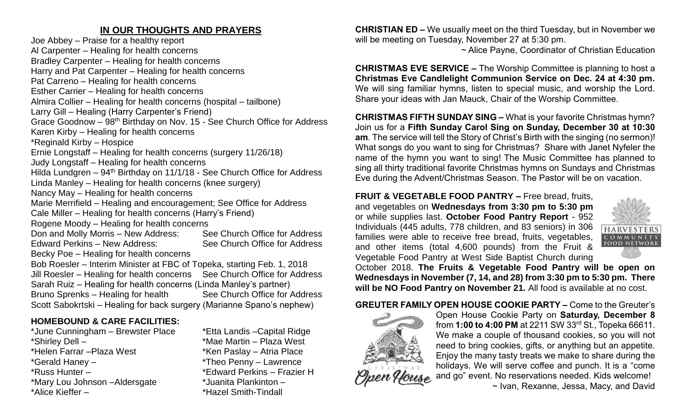# **IN OUR THOUGHTS AND PRAYERS**

Joe Abbey – Praise for a healthy report Al Carpenter – Healing for health concerns Bradley Carpenter – Healing for health concerns Harry and Pat Carpenter – Healing for health concerns Pat Carreno – Healing for health concerns Esther Carrier – Healing for health concerns Almira Collier – Healing for health concerns (hospital – tailbone) Larry Gill – Healing (Harry Carpenter's Friend) Grace Goodnow – 98th Birthday on Nov. 15 - See Church Office for Address Karen Kirby – Healing for health concerns \*Reginald Kirby – Hospice Ernie Longstaff – Healing for health concerns (surgery 11/26/18) Judy Longstaff – Healing for health concerns Hilda Lundgren –  $94<sup>th</sup>$  Birthday on 11/1/18 - See Church Office for Address Linda Manley – Healing for health concerns (knee surgery) Nancy May – Healing for health concerns Marie Merrifield – Healing and encouragement; See Office for Address Cale Miller – Healing for health concerns (Harry's Friend) Rogene Moody – Healing for health concerns Don and Molly Morris – New Address: See Church Office for Address Edward Perkins – New Address: See Church Office for Address Becky Poe – Healing for health concerns Bob Roesler – Interim Minister at FBC of Topeka, starting Feb. 1, 2018 Jill Roesler – Healing for health concerns See Church Office for Address Sarah Ruiz – Healing for health concerns (Linda Manley's partner) Bruno Sprenks – Healing for health See Church Office for Address Scott Sabokrtski – Healing for back surgery (Marianne Spano's nephew)

# **HOMEBOUND & CARE FACILITIES:**

\*Shirley Dell – \*Mae Martin – Plaza West \*Helen Farrar – Plaza West \*Ken Paslay – Atria Place \*Gerald Haney – \*Theo Penny – Lawrence \*Russ Hunter – \*Edward Perkins – Frazier H \*Mary Lou Johnson –Aldersgate \*Juanita Plankinton – \*Alice Kieffer – \*Hazel Smith-Tindall

\*June Cunningham – Brewster Place \*Etta Landis –Capital Ridge

**CHRISTIAN ED –** We usually meet on the third Tuesday, but in November we will be meeting on Tuesday, November 27 at 5:30 pm.

~ Alice Payne, Coordinator of Christian Education

**CHRISTMAS EVE SERVICE –** The Worship Committee is planning to host a **Christmas Eve Candlelight Communion Service on Dec. 24 at 4:30 pm.**  We will sing familiar hymns, listen to special music, and worship the Lord. Share your ideas with Jan Mauck, Chair of the Worship Committee.

**CHRISTMAS FIFTH SUNDAY SING –** What is your favorite Christmas hymn? Join us for a **Fifth Sunday Carol Sing on Sunday, December 30 at 10:30 am**. The service will tell the Story of Christ's Birth with the singing (no sermon)! What songs do you want to sing for Christmas? Share with Janet Nyfeler the name of the hymn you want to sing! The Music Committee has planned to sing all thirty traditional favorite Christmas hymns on Sundays and Christmas Eve during the Advent/Christmas Season. The Pastor will be on vacation.

**FRUIT & VEGETABLE FOOD PANTRY –** Free bread, fruits, and vegetables on **Wednesdays from 3:30 pm to 5:30 pm**  or while supplies last. **October Food Pantry Report** - 952 Individuals (445 adults, 778 children, and 83 seniors) in 306 families were able to receive free bread, fruits, vegetables, and other items (total 4,600 pounds) from the Fruit & Vegetable Food Pantry at West Side Baptist Church during



October 2018. **The Fruits & Vegetable Food Pantry will be open on Wednesdays in November (7, 14, and 28) from 3:30 pm to 5:30 pm. There will be NO Food Pantry on November 21.** All food is available at no cost.

#### **GREUTER FAMILY OPEN HOUSE COOKIE PARTY –** Come to the Greuter's



Open House Cookie Party on **Saturday, December 8**  from **1:00 to 4:00 PM** at 2211 SW 33rd St., Topeka 66611. We make a couple of thousand cookies, so you will not need to bring cookies, gifts, or anything but an appetite. Enjoy the many tasty treats we make to share during the holidays. We will serve coffee and punch. It is a "come and go" event. No reservations needed. Kids welcome!

~ Ivan, Rexanne, Jessa, Macy, and David